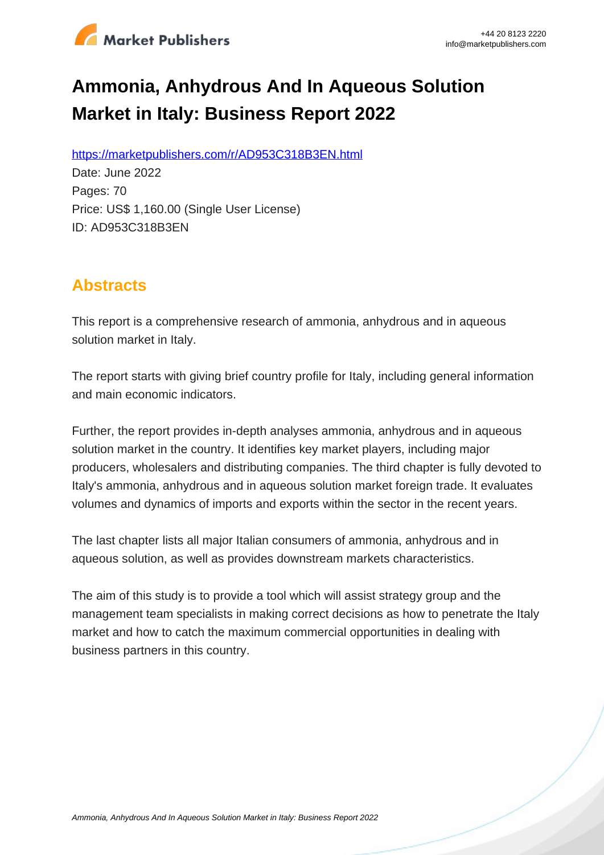

# **Ammonia, Anhydrous And In Aqueous Solution Market in Italy: Business Report 2022**

https://marketpublishers.com/r/AD953C318B3EN.html

Date: June 2022 Pages: 70 Price: US\$ 1,160.00 (Single User License) ID: AD953C318B3EN

## **Abstracts**

This report is a comprehensive research of ammonia, anhydrous and in aqueous solution market in Italy.

The report starts with giving brief country profile for Italy, including general information and main economic indicators.

Further, the report provides in-depth analyses ammonia, anhydrous and in aqueous solution market in the country. It identifies key market players, including major producers, wholesalers and distributing companies. The third chapter is fully devoted to Italy's ammonia, anhydrous and in aqueous solution market foreign trade. It evaluates volumes and dynamics of imports and exports within the sector in the recent years.

The last chapter lists all major Italian consumers of ammonia, anhydrous and in aqueous solution, as well as provides downstream markets characteristics.

The aim of this study is to provide a tool which will assist strategy group and the management team specialists in making correct decisions as how to penetrate the Italy market and how to catch the maximum commercial opportunities in dealing with business partners in this country.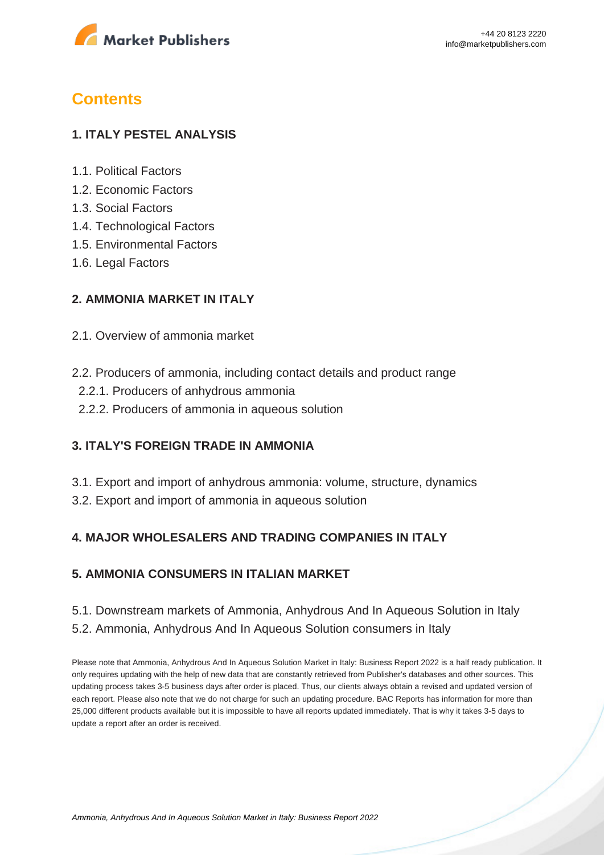

## **Contents**

#### **1. ITALY PESTEL ANALYSIS**

- 1.1. Political Factors
- 1.2. Economic Factors
- 1.3. Social Factors
- 1.4. Technological Factors
- 1.5. Environmental Factors
- 1.6. Legal Factors

#### **2. AMMONIA MARKET IN ITALY**

- 2.1. Overview of ammonia market
- 2.2. Producers of ammonia, including contact details and product range
	- 2.2.1. Producers of anhydrous ammonia
	- 2.2.2. Producers of ammonia in aqueous solution

#### **3. ITALY'S FOREIGN TRADE IN AMMONIA**

- 3.1. Export and import of anhydrous ammonia: volume, structure, dynamics
- 3.2. Export and import of ammonia in aqueous solution

#### **4. MAJOR WHOLESALERS AND TRADING COMPANIES IN ITALY**

#### **5. AMMONIA CONSUMERS IN ITALIAN MARKET**

#### 5.1. Downstream markets of Ammonia, Anhydrous And In Aqueous Solution in Italy 5.2. Ammonia, Anhydrous And In Aqueous Solution consumers in Italy

Please note that Ammonia, Anhydrous And In Aqueous Solution Market in Italy: Business Report 2022 is a half ready publication. It only requires updating with the help of new data that are constantly retrieved from Publisher's databases and other sources. This updating process takes 3-5 business days after order is placed. Thus, our clients always obtain a revised and updated version of each report. Please also note that we do not charge for such an updating procedure. BAC Reports has information for more than 25,000 different products available but it is impossible to have all reports updated immediately. That is why it takes 3-5 days to update a report after an order is received.